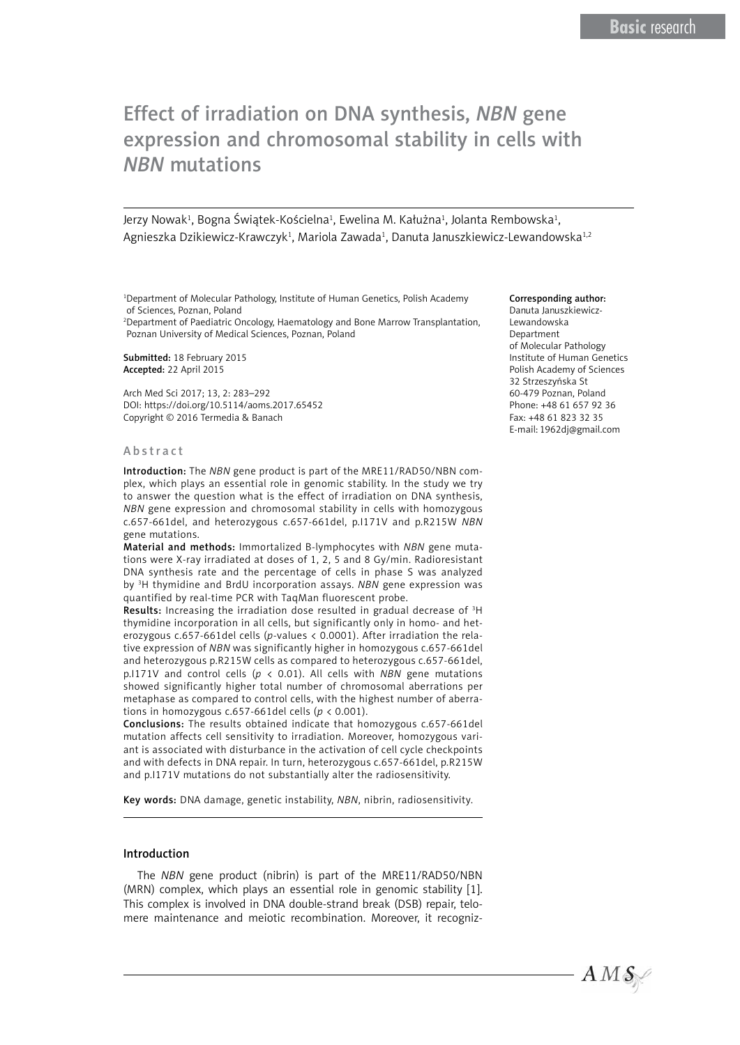# Effect of irradiation on DNA synthesis, *NBN* gene expression and chromosomal stability in cells with *NBN* mutations

Jerzy Nowak<sup>1</sup>, Bogna Świątek-Kościelna<sup>1</sup>, Ewelina M. Kałużna<sup>1</sup>, Jolanta Rembowska<sup>1</sup>, Agnieszka Dzikiewicz-Krawczyk<sup>1</sup>, Mariola Zawada<sup>1</sup>, Danuta Januszkiewicz-Lewandowska<sup>1,2</sup>

1 Department of Molecular Pathology, Institute of Human Genetics, Polish Academy of Sciences, Poznan, Poland

2 Department of Paediatric Oncology, Haematology and Bone Marrow Transplantation, Poznan University of Medical Sciences, Poznan, Poland

Submitted: 18 February 2015 Accepted: 22 April 2015

Arch Med Sci 2017; 13, 2: 283–292 DOI: https://doi.org/10.5114/aoms.2017.65452 Copyright © 2016 Termedia & Banach

#### Abstract

Introduction: The *NBN* gene product is part of the MRE11/RAD50/NBN complex, which plays an essential role in genomic stability. In the study we try to answer the question what is the effect of irradiation on DNA synthesis, *NBN* gene expression and chromosomal stability in cells with homozygous c.657-661del, and heterozygous c.657-661del, p.I171V and p.R215W *NBN* gene mutations.

Material and methods: Immortalized B-lymphocytes with *NBN* gene mutations were X-ray irradiated at doses of 1, 2, 5 and 8 Gy/min. Radioresistant DNA synthesis rate and the percentage of cells in phase S was analyzed by 3 H thymidine and BrdU incorporation assays. *NBN* gene expression was quantified by real-time PCR with TaqMan fluorescent probe.

Results: Increasing the irradiation dose resulted in gradual decrease of <sup>3</sup>H thymidine incorporation in all cells, but significantly only in homo- and heterozygous c.657-661del cells (*p*-values < 0.0001). After irradiation the relative expression of *NBN* was significantly higher in homozygous c.657-661del and heterozygous p.R215W cells as compared to heterozygous c.657-661del, p.I171V and control cells (*p* < 0.01). All cells with *NBN* gene mutations showed significantly higher total number of chromosomal aberrations per metaphase as compared to control cells, with the highest number of aberrations in homozygous c.657-661del cells (*p* < 0.001).

Conclusions: The results obtained indicate that homozygous c.657-661del mutation affects cell sensitivity to irradiation. Moreover, homozygous variant is associated with disturbance in the activation of cell cycle checkpoints and with defects in DNA repair. In turn, heterozygous c.657-661del, p.R215W and p.I171V mutations do not substantially alter the radiosensitivity.

Key words: DNA damage, genetic instability, *NBN*, nibrin, radiosensitivity*.*

## Introduction

The *NBN* gene product (nibrin) is part of the MRE11/RAD50/NBN (MRN) complex, which plays an essential role in genomic stability [1]. This complex is involved in DNA double-strand break (DSB) repair, telomere maintenance and meiotic recombination. Moreover, it recogniz-

#### Corresponding author:

Danuta Januszkiewicz-Lewandowska Department of Molecular Pathology Institute of Human Genetics Polish Academy of Sciences 32 Strzeszyńska St 60-479 Poznan, Poland Phone: +48 61 657 92 36 Fax: +48 61 823 32 35 E-mail: 1962dj@gmail.com

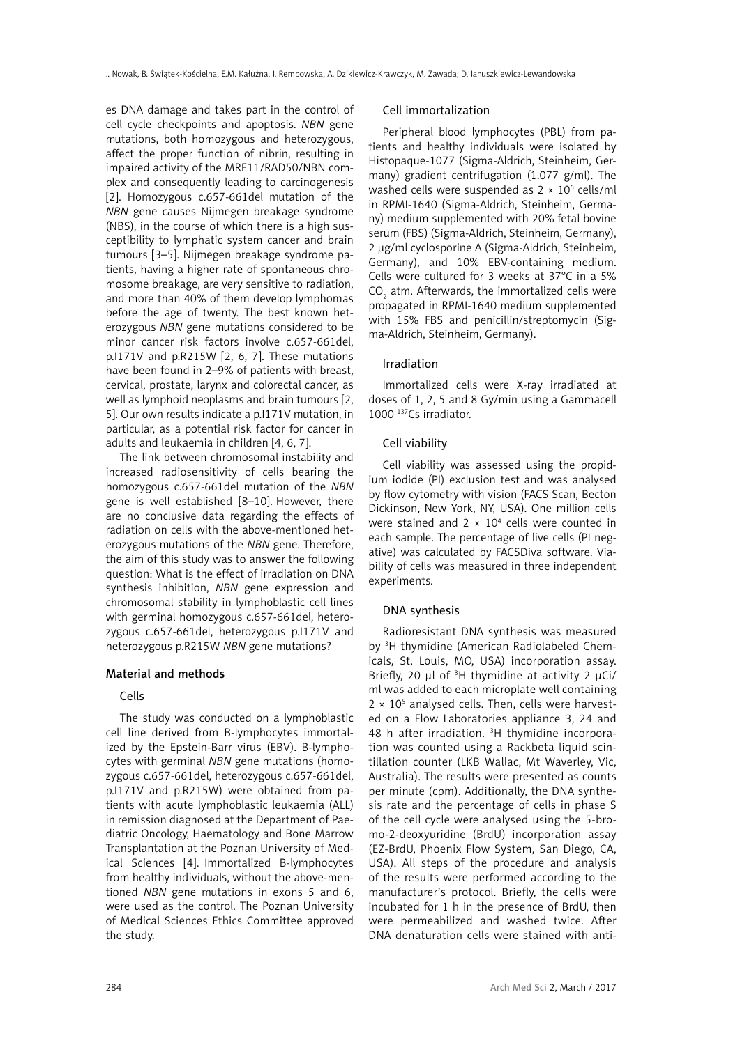es DNA damage and takes part in the control of cell cycle checkpoints and apoptosis. *NBN* gene mutations, both homozygous and heterozygous, affect the proper function of nibrin, resulting in impaired activity of the MRE11/RAD50/NBN complex and consequently leading to carcinogenesis [2]. Homozygous c.657-661del mutation of the *NBN* gene causes Nijmegen breakage syndrome (NBS), in the course of which there is a high susceptibility to lymphatic system cancer and brain tumours [3–5]. Nijmegen breakage syndrome patients, having a higher rate of spontaneous chromosome breakage, are very sensitive to radiation, and more than 40% of them develop lymphomas before the age of twenty. The best known heterozygous *NBN* gene mutations considered to be minor cancer risk factors involve c.657-661del, p.I171V and p.R215W [2, 6, 7]. These mutations have been found in 2–9% of patients with breast, cervical, prostate, larynx and colorectal cancer, as well as lymphoid neoplasms and brain tumours [2, 5]. Our own results indicate a p.I171V mutation, in particular, as a potential risk factor for cancer in adults and leukaemia in children [4, 6, 7].

The link between chromosomal instability and increased radiosensitivity of cells bearing the homozygous c.657-661del mutation of the *NBN* gene is well established [8–10]. However, there are no conclusive data regarding the effects of radiation on cells with the above-mentioned heterozygous mutations of the *NBN* gene. Therefore, the aim of this study was to answer the following question: What is the effect of irradiation on DNA synthesis inhibition, *NBN* gene expression and chromosomal stability in lymphoblastic cell lines with germinal homozygous c.657-661del, heterozygous c.657-661del, heterozygous p.I171V and heterozygous p.R215W *NBN* gene mutations?

# Material and methods

# Cells

The study was conducted on a lymphoblastic cell line derived from B-lymphocytes immortalized by the Epstein-Barr virus (EBV). B-lymphocytes with germinal *NBN* gene mutations (homozygous c.657-661del, heterozygous c.657-661del, p.I171V and p.R215W) were obtained from patients with acute lymphoblastic leukaemia (ALL) in remission diagnosed at the Department of Paediatric Oncology, Haematology and Bone Marrow Transplantation at the Poznan University of Medical Sciences [4]. Immortalized B-lymphocytes from healthy individuals, without the above-mentioned *NBN* gene mutations in exons 5 and 6, were used as the control. The Poznan University of Medical Sciences Ethics Committee approved the study.

#### Cell immortalization

Peripheral blood lymphocytes (PBL) from patients and healthy individuals were isolated by Histopaque-1077 (Sigma-Aldrich, Steinheim, Germany) gradient centrifugation (1.077 g/ml). The washed cells were suspended as  $2 \times 10^6$  cells/ml in RPMI-1640 (Sigma-Aldrich, Steinheim, Germany) medium supplemented with 20% fetal bovine serum (FBS) (Sigma-Aldrich, Steinheim, Germany), 2 µg/ml cyclosporine A (Sigma-Aldrich, Steinheim, Germany), and 10% EBV-containing medium. Cells were cultured for 3 weeks at 37°C in a 5%  $\text{CO}_2$  atm. Afterwards, the immortalized cells were propagated in RPMI-1640 medium supplemented with 15% FBS and penicillin/streptomycin (Sigma-Aldrich, Steinheim, Germany).

#### Irradiation

Immortalized cells were X-ray irradiated at doses of 1, 2, 5 and 8 Gy/min using a Gammacell 1000 137Cs irradiator.

# Cell viability

Cell viability was assessed using the propidium iodide (PI) exclusion test and was analysed by flow cytometry with vision (FACS Scan, Becton Dickinson, New York, NY, USA). One million cells were stained and  $2 \times 10^4$  cells were counted in each sample. The percentage of live cells (PI negative) was calculated by FACSDiva software. Viability of cells was measured in three independent experiments.

# DNA synthesis

Radioresistant DNA synthesis was measured by 3 H thymidine (American Radiolabeled Chemicals, St. Louis, MO, USA) incorporation assay. Briefly, 20  $\mu$ l of <sup>3</sup>H thymidine at activity 2  $\mu$ Ci/ ml was added to each microplate well containing 2 × 10<sup>5</sup> analysed cells. Then, cells were harvested on a Flow Laboratories appliance 3, 24 and 48 h after irradiation. <sup>3</sup>H thymidine incorporation was counted using a Rackbeta liquid scintillation counter (LKB Wallac, Mt Waverley, Vic, Australia). The results were presented as counts per minute (cpm). Additionally, the DNA synthesis rate and the percentage of cells in phase S of the cell cycle were analysed using the 5-bromo-2-deoxyuridine (BrdU) incorporation assay (EZ-BrdU, Phoenix Flow System, San Diego, CA, USA). All steps of the procedure and analysis of the results were performed according to the manufacturer's protocol. Briefly, the cells were incubated for 1 h in the presence of BrdU, then were permeabilized and washed twice. After DNA denaturation cells were stained with anti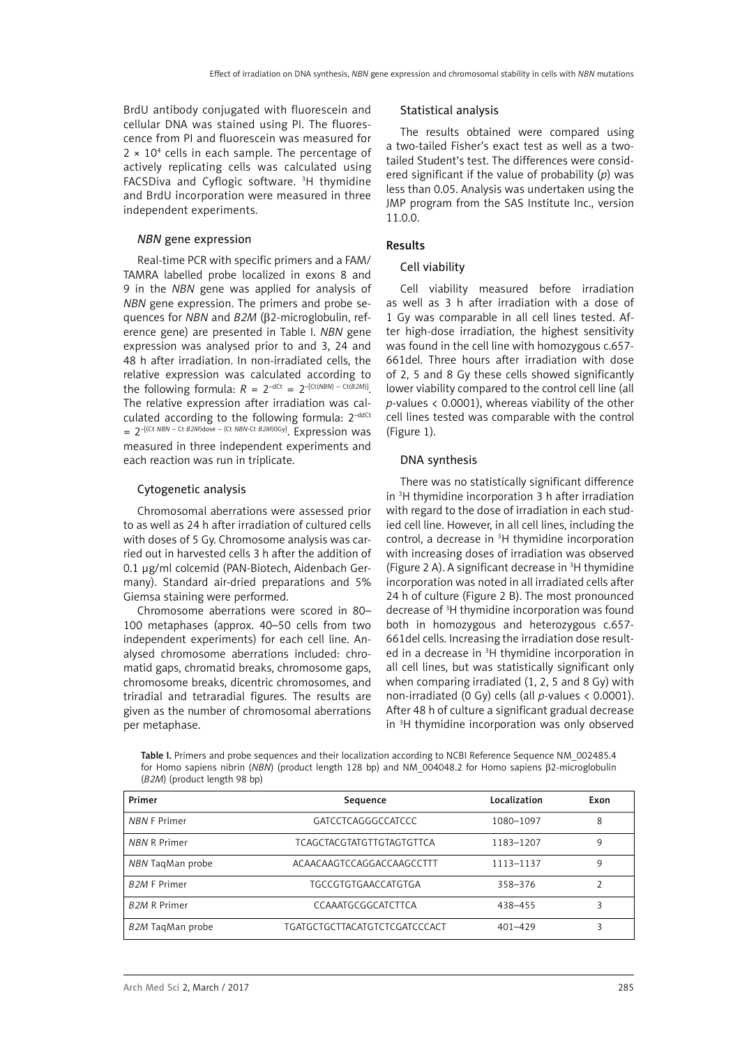BrdU antibody conjugated with fluorescein and cellular DNA was stained using PI. The fluorescence from PI and fluorescein was measured for 2 × 104 cells in each sample. The percentage of actively replicating cells was calculated using FACSDiva and Cyflogic software. <sup>3</sup>H thymidine and BrdU incorporation were measured in three independent experiments.

#### *NBN* gene expression

Real-time PCR with specific primers and a FAM/ TAMRA labelled probe localized in exons 8 and 9 in the *NBN* gene was applied for analysis of *NBN* gene expression. The primers and probe sequences for *NBN* and *B2M* (β2-microglobulin, reference gene) are presented in Table I. *NBN* gene expression was analysed prior to and 3, 24 and 48 h after irradiation. In non-irradiated cells, the relative expression was calculated according to the following formula:  $R = 2^{-dCt} = 2^{-[Ct/(NBN) - Ct(B2M)]}$ The relative expression after irradiation was calculated according to the following formula:  $2^{-ddCt}$ = 2–[(Ct *NBN* – Ct *B2M*)dose – (Ct *NBN*-Ct *B2M*)0Gy]. Expression was measured in three independent experiments and each reaction was run in triplicate.

#### Cytogenetic analysis

Chromosomal aberrations were assessed prior to as well as 24 h after irradiation of cultured cells with doses of 5 Gy. Chromosome analysis was carried out in harvested cells 3 h after the addition of 0.1 µg/ml colcemid (PAN-Biotech, Aidenbach Germany). Standard air-dried preparations and 5% Giemsa staining were performed.

Chromosome aberrations were scored in 80– 100 metaphases (approx. 40–50 cells from two independent experiments) for each cell line. Analysed chromosome aberrations included: chromatid gaps, chromatid breaks, chromosome gaps, chromosome breaks, dicentric chromosomes, and triradial and tetraradial figures. The results are given as the number of chromosomal aberrations per metaphase.

## Statistical analysis

The results obtained were compared using a two-tailed Fisher's exact test as well as a twotailed Student's test. The differences were considered significant if the value of probability (*p*) was less than 0.05. Analysis was undertaken using the JMP program from the SAS Institute Inc., version 11.0.0.

#### Results

#### Cell viability

Cell viability measured before irradiation as well as 3 h after irradiation with a dose of 1 Gy was comparable in all cell lines tested. After high-dose irradiation, the highest sensitivity was found in the cell line with homozygous c.657- 661del. Three hours after irradiation with dose of 2, 5 and 8 Gy these cells showed significantly lower viability compared to the control cell line (all *p*-values < 0.0001), whereas viability of the other cell lines tested was comparable with the control (Figure 1).

#### DNA synthesis

There was no statistically significant difference in 3 H thymidine incorporation 3 h after irradiation with regard to the dose of irradiation in each studied cell line. However, in all cell lines, including the control, a decrease in 3 H thymidine incorporation with increasing doses of irradiation was observed (Figure 2 A). A significant decrease in  ${}^{3}$ H thymidine incorporation was noted in all irradiated cells after 24 h of culture (Figure 2 B). The most pronounced decrease of 3 H thymidine incorporation was found both in homozygous and heterozygous c.657- 661del cells. Increasing the irradiation dose resulted in a decrease in <sup>3</sup>H thymidine incorporation in all cell lines, but was statistically significant only when comparing irradiated (1, 2, 5 and 8 Gy) with non-irradiated (0 Gy) cells (all *p*-values < 0.0001). After 48 h of culture a significant gradual decrease in 3 H thymidine incorporation was only observed

Table I. Primers and probe sequences and their localization according to NCBI Reference Sequence NM\_002485.4 for Homo sapiens nibrin (*NBN*) (product length 128 bp) and NM\_004048.2 for Homo sapiens β2-microglobulin (*B2M*) (product length 98 bp)

| Primer              | Sequence                             | Localization | Exon |
|---------------------|--------------------------------------|--------------|------|
| <b>NBN F Primer</b> | GATCCTCAGGGCCATCCC                   | 1080-1097    | 8    |
| <b>NBN R Primer</b> | TCAGCTACGTATGTTGTAGTGTTCA            | 1183-1207    | 9    |
| NBN TagMan probe    | ACAACAAGTCCAGGACCAAGCCTTT            | 1113-1137    | 9    |
| <b>B2M F Primer</b> | TGCCGTGTGAACCATGTGA                  | 358-376      |      |
| <b>B2M R Primer</b> | CCAAATGCGGCATCTTCA                   | 438-455      | 3    |
| B2M TagMan probe    | <b>TGATGCTGCTTACATGTCTCGATCCCACT</b> | $401 - 429$  | 3    |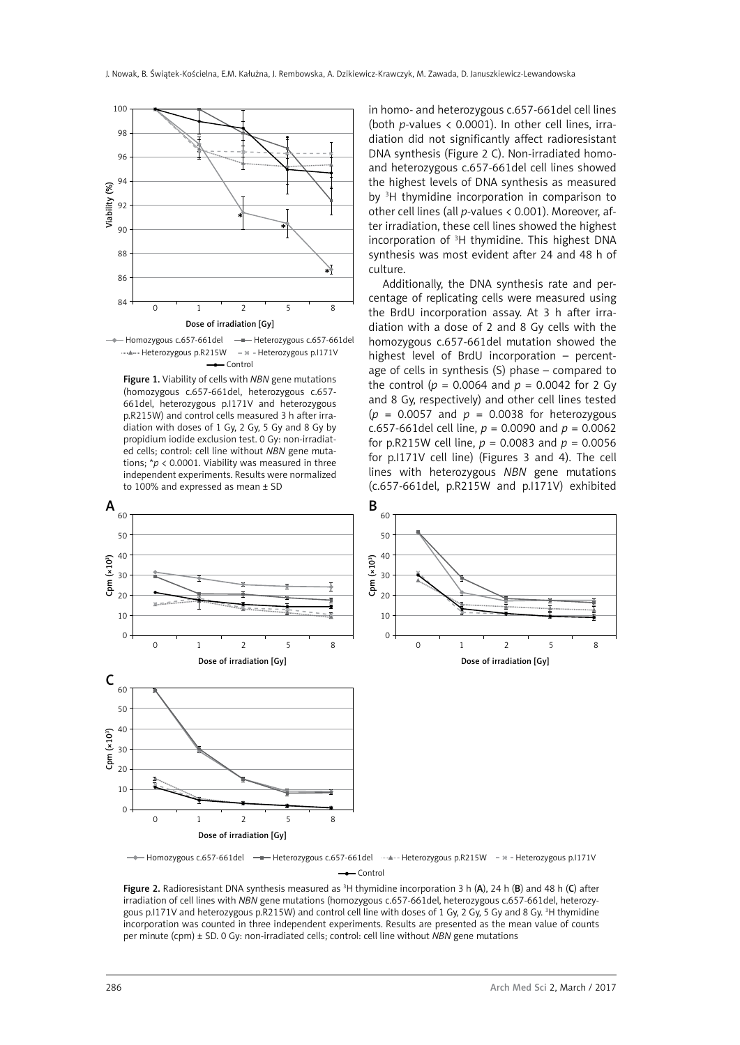

Homozygous c.657-661del - Heterozygous c.657-661del Heterozygous p.R215W Heterozygous p.I171V **-**Control

Figure 1. Viability of cells with *NBN* gene mutations (homozygous c.657-661del, heterozygous c.657- 661del, heterozygous p.I171V and heterozygous p.R215W) and control cells measured 3 h after irradiation with doses of 1 Gy, 2 Gy, 5 Gy and 8 Gy by propidium iodide exclusion test. 0 Gy: non-irradiated cells; control: cell line without *NBN* gene mutations; \**p* < 0.0001. Viability was measured in three independent experiments. Results were normalized to 100% and expressed as mean ± SD

in homo- and heterozygous c.657-661del cell lines (both *p*-values < 0.0001). In other cell lines, irradiation did not significantly affect radioresistant DNA synthesis (Figure 2 C). Non-irradiated homoand heterozygous c.657-661del cell lines showed the highest levels of DNA synthesis as measured by 3 H thymidine incorporation in comparison to other cell lines (all *p*-values < 0.001). Moreover, after irradiation, these cell lines showed the highest incorporation of 3 H thymidine. This highest DNA synthesis was most evident after 24 and 48 h of culture.

Additionally, the DNA synthesis rate and percentage of replicating cells were measured using the BrdU incorporation assay. At 3 h after irradiation with a dose of 2 and 8 Gy cells with the homozygous c.657-661del mutation showed the highest level of BrdU incorporation – percentage of cells in synthesis (S) phase – compared to the control ( $p = 0.0064$  and  $p = 0.0042$  for 2 Gy and 8 Gy, respectively) and other cell lines tested  $(p = 0.0057$  and  $p = 0.0038$  for heterozygous c.657-661del cell line, *p* = 0.0090 and *p* = 0.0062 for p.R215W cell line,  $p = 0.0083$  and  $p = 0.0056$ for p.I171V cell line) (Figures 3 and 4). The cell lines with heterozygous *NBN* gene mutations (c.657-661del, p.R215W and p.I171V) exhibited



Homozygous c.657-661del - Heterozygous c.657-661del - Alexander b.B.215W - Materozygous p.I171V **-**Control

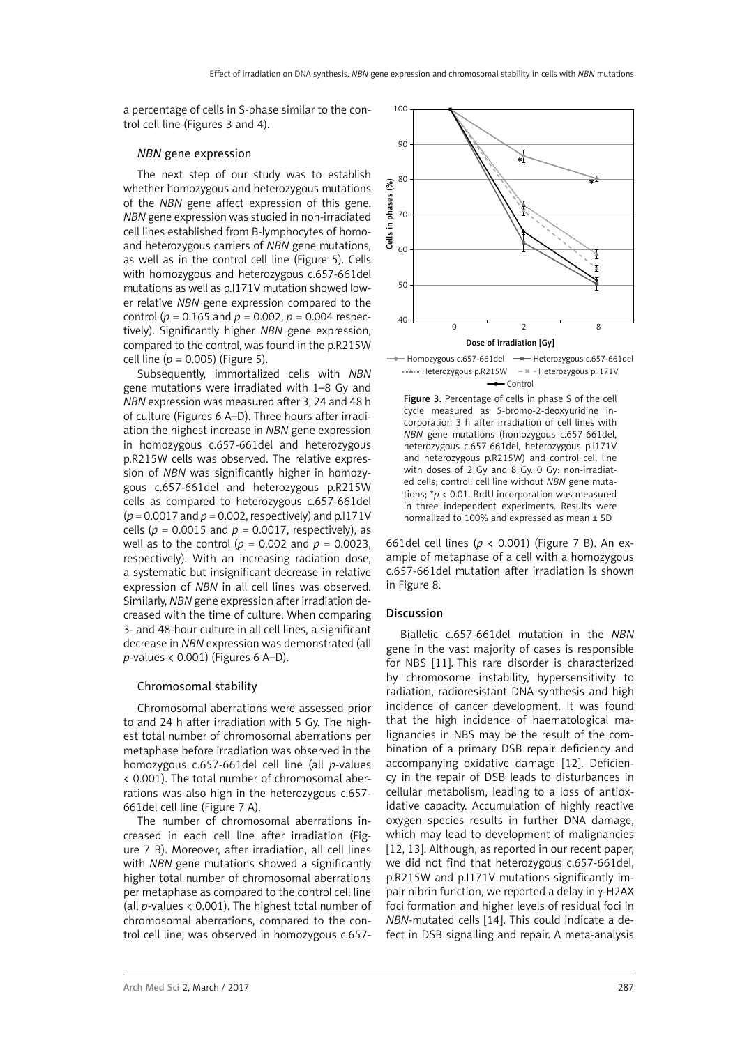a percentage of cells in S-phase similar to the control cell line (Figures 3 and 4).

#### *NBN* gene expression

The next step of our study was to establish whether homozygous and heterozygous mutations of the *NBN* gene affect expression of this gene. *NBN* gene expression was studied in non-irradiated cell lines established from B-lymphocytes of homoand heterozygous carriers of *NBN* gene mutations, as well as in the control cell line (Figure 5). Cells with homozygous and heterozygous c.657-661del mutations as well as p.I171V mutation showed lower relative *NBN* gene expression compared to the control ( $p = 0.165$  and  $p = 0.002$ ,  $p = 0.004$  respectively). Significantly higher *NBN* gene expression, compared to the control, was found in the p.R215W cell line  $(p = 0.005)$  (Figure 5).

Subsequently, immortalized cells with *NBN* gene mutations were irradiated with 1–8 Gy and *NBN* expression was measured after 3, 24 and 48 h of culture (Figures 6 A–D). Three hours after irradiation the highest increase in *NBN* gene expression in homozygous c.657-661del and heterozygous p.R215W cells was observed. The relative expression of *NBN* was significantly higher in homozygous c.657-661del and heterozygous p.R215W cells as compared to heterozygous c.657-661del  $(p = 0.0017$  and  $p = 0.002$ , respectively) and p.1171V cells ( $p = 0.0015$  and  $p = 0.0017$ , respectively), as well as to the control ( $p = 0.002$  and  $p = 0.0023$ , respectively). With an increasing radiation dose, a systematic but insignificant decrease in relative expression of *NBN* in all cell lines was observed. Similarly, *NBN* gene expression after irradiation decreased with the time of culture. When comparing 3- and 48-hour culture in all cell lines, a significant decrease in *NBN* expression was demonstrated (all *p*-values < 0.001) (Figures 6 A–D).

# Chromosomal stability

Chromosomal aberrations were assessed prior to and 24 h after irradiation with 5 Gy. The highest total number of chromosomal aberrations per metaphase before irradiation was observed in the homozygous c.657-661del cell line (all *p*-values < 0.001). The total number of chromosomal aberrations was also high in the heterozygous c.657- 661del cell line (Figure 7 A).

The number of chromosomal aberrations increased in each cell line after irradiation (Figure 7 B). Moreover, after irradiation, all cell lines with *NBN* gene mutations showed a significantly higher total number of chromosomal aberrations per metaphase as compared to the control cell line (all *p*-values < 0.001). The highest total number of chromosomal aberrations, compared to the control cell line, was observed in homozygous c.657-





Figure 3. Percentage of cells in phase S of the cell cycle measured as 5-bromo-2-deoxyuridine incorporation 3 h after irradiation of cell lines with *NBN* gene mutations (homozygous c.657-661del, heterozygous c.657-661del, heterozygous p.I171V and heterozygous p.R215W) and control cell line with doses of 2 Gy and 8 Gy 0 Gy: non-irradiated cells; control: cell line without *NBN* gene mutations; \**p* < 0.01. BrdU incorporation was measured in three independent experiments. Results were normalized to 100% and expressed as mean ± SD

661del cell lines (*p* < 0.001) (Figure 7 B). An example of metaphase of a cell with a homozygous c.657-661del mutation after irradiation is shown in Figure 8.

# Discussion

Biallelic c.657-661del mutation in the *NBN* gene in the vast majority of cases is responsible for NBS [11]. This rare disorder is characterized by chromosome instability, hypersensitivity to radiation, radioresistant DNA synthesis and high incidence of cancer development. It was found that the high incidence of haematological malignancies in NBS may be the result of the combination of a primary DSB repair deficiency and accompanying oxidative damage [12]. Deficiency in the repair of DSB leads to disturbances in cellular metabolism, leading to a loss of antioxidative capacity. Accumulation of highly reactive oxygen species results in further DNA damage, which may lead to development of malignancies [12, 13]. Although, as reported in our recent paper, we did not find that heterozygous c.657-661del, p.R215W and p.I171V mutations significantly impair nibrin function, we reported a delay in  $v$ -H2AX foci formation and higher levels of residual foci in *NBN*-mutated cells [14]. This could indicate a defect in DSB signalling and repair. A meta-analysis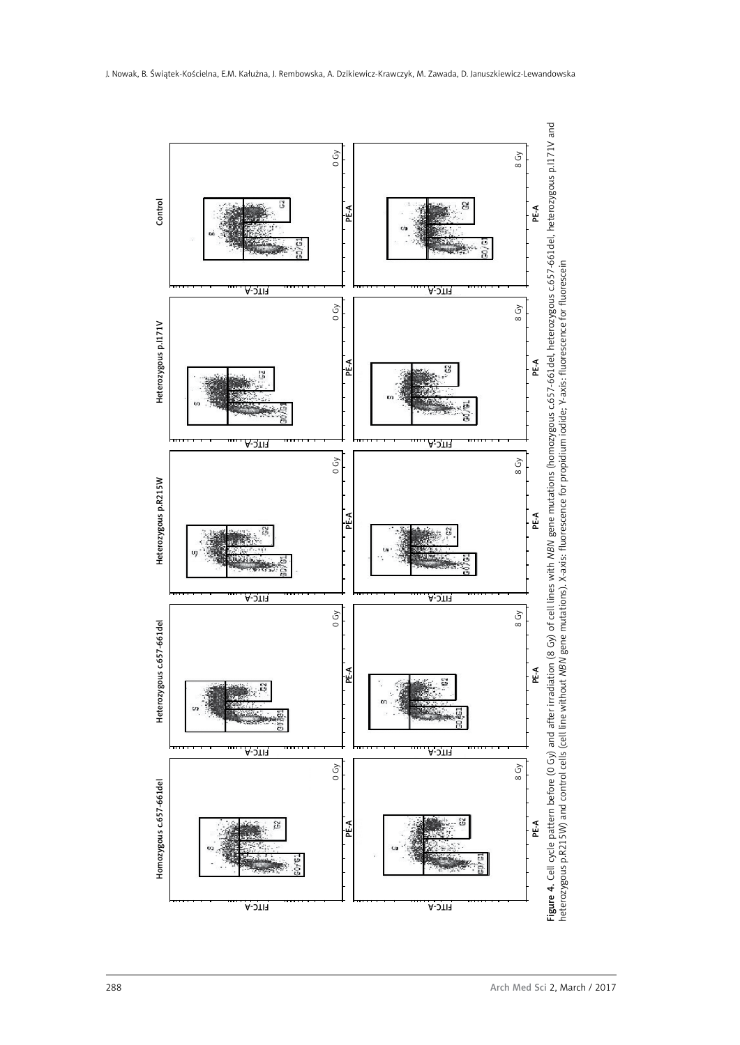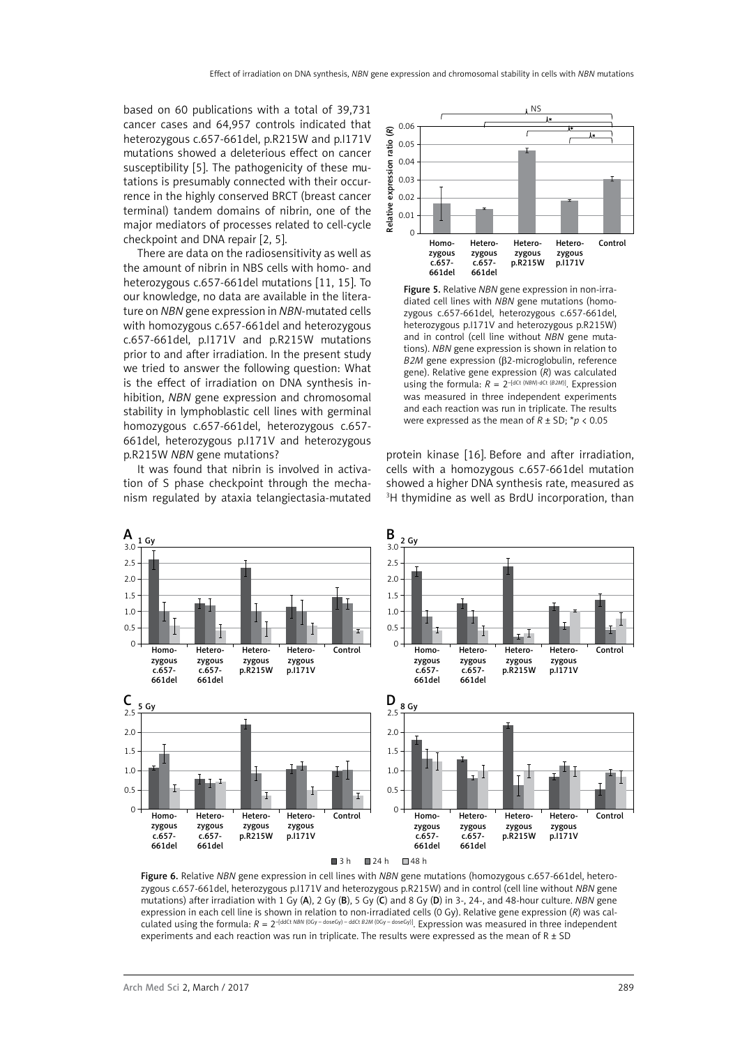based on 60 publications with a total of 39,731 cancer cases and 64,957 controls indicated that heterozygous c.657-661del, p.R215W and p.I171V mutations showed a deleterious effect on cancer susceptibility [5]. The pathogenicity of these mutations is presumably connected with their occurrence in the highly conserved BRCT (breast cancer terminal) tandem domains of nibrin, one of the major mediators of processes related to cell-cycle checkpoint and DNA repair [2, 5].

There are data on the radiosensitivity as well as the amount of nibrin in NBS cells with homo- and heterozygous c.657-661del mutations [11, 15]. To our knowledge, no data are available in the literature on *NBN* gene expression in *NBN*-mutated cells with homozygous c.657-661del and heterozygous c.657-661del, p.I171V and p.R215W mutations prior to and after irradiation. In the present study we tried to answer the following question: What is the effect of irradiation on DNA synthesis inhibition, *NBN* gene expression and chromosomal stability in lymphoblastic cell lines with germinal homozygous c.657-661del, heterozygous c.657- 661del, heterozygous p.I171V and heterozygous p.R215W *NBN* gene mutations?

It was found that nibrin is involved in activation of S phase checkpoint through the mechanism regulated by ataxia telangiectasia-mutated



Figure 5. Relative *NBN* gene expression in non-irradiated cell lines with *NBN* gene mutations (homozygous c.657-661del, heterozygous c.657-661del, heterozygous p.I171V and heterozygous p.R215W) and in control (cell line without *NBN* gene mutations). *NBN* gene expression is shown in relation to *B2M* gene expression (β2-microglobulin, reference gene). Relative gene expression (*R*) was calculated using the formula:  $R = 2^{-[dCt (NBN)-dCt (B2M)]}$ . Expression was measured in three independent experiments and each reaction was run in triplicate. The results were expressed as the mean of *R* ± SD; \**p* < 0.05

protein kinase [16]. Before and after irradiation, cells with a homozygous c.657-661del mutation showed a higher DNA synthesis rate, measured as 3 H thymidine as well as BrdU incorporation, than



Figure 6. Relative *NBN* gene expression in cell lines with *NBN* gene mutations (homozygous c.657-661del, heterozygous c.657-661del, heterozygous p.I171V and heterozygous p.R215W) and in control (cell line without *NBN* gene mutations) after irradiation with 1 Gy (A), 2 Gy (B), 5 Gy (C) and 8 Gy (D) in 3-, 24-, and 48-hour culture. *NBN* gene expression in each cell line is shown in relation to non-irradiated cells (0 Gy). Relative gene expression (*R*) was calculated using the formula:  $R = 2^{-\frac{1}{100Ct NBN(0Gy - doseGy) - d/dCt B2M(0Gy - doseGy))}}$ . Expression was measured in three independent experiments and each reaction was run in triplicate. The results were expressed as the mean of R  $\pm$  SD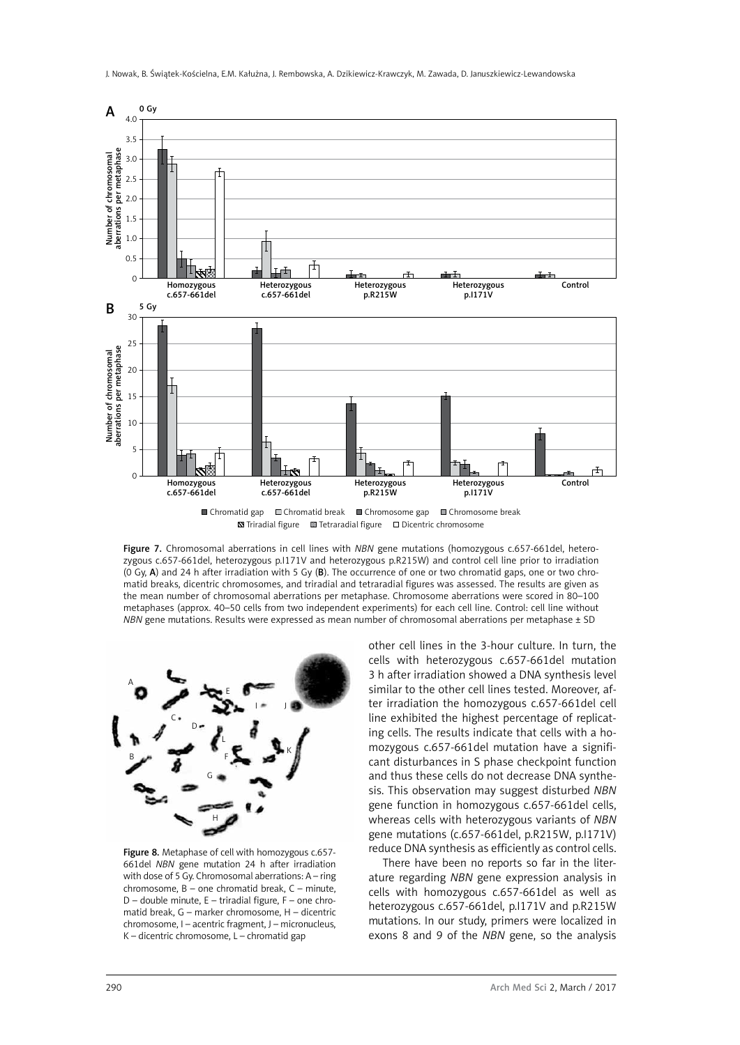

Figure 7. Chromosomal aberrations in cell lines with *NBN* gene mutations (homozygous c.657-661del, heterozygous c.657-661del, heterozygous p.I171V and heterozygous p.R215W) and control cell line prior to irradiation (0 Gy, A) and 24 h after irradiation with 5 Gy (B). The occurrence of one or two chromatid gaps, one or two chromatid breaks, dicentric chromosomes, and triradial and tetraradial figures was assessed. The results are given as the mean number of chromosomal aberrations per metaphase. Chromosome aberrations were scored in 80–100 metaphases (approx. 40–50 cells from two independent experiments) for each cell line. Control: cell line without *NBN* gene mutations. Results were expressed as mean number of chromosomal aberrations per metaphase ± SD



Figure 8. Metaphase of cell with homozygous c.657-661del *NBN* gene mutation 24 h after irradiation with dose of 5 Gy. Chromosomal aberrations: A – ring chromosome, B – one chromatid break, C – minute, D – double minute, E – triradial figure, F – one chromatid break, G – marker chromosome, H – dicentric chromosome, I – acentric fragment, J – micronucleus, K – dicentric chromosome, L – chromatid gap

other cell lines in the 3-hour culture. In turn, the cells with heterozygous c.657-661del mutation 3 h after irradiation showed a DNA synthesis level similar to the other cell lines tested. Moreover, after irradiation the homozygous c.657-661del cell line exhibited the highest percentage of replicating cells. The results indicate that cells with a homozygous c.657-661del mutation have a significant disturbances in S phase checkpoint function and thus these cells do not decrease DNA synthesis. This observation may suggest disturbed *NBN* gene function in homozygous c.657-661del cells, whereas cells with heterozygous variants of *NBN* gene mutations (c.657-661del, p.R215W, p.I171V) reduce DNA synthesis as efficiently as control cells.

There have been no reports so far in the literature regarding *NBN* gene expression analysis in cells with homozygous c.657-661del as well as heterozygous c.657-661del, p.I171V and p.R215W mutations. In our study, primers were localized in exons 8 and 9 of the *NBN* gene, so the analysis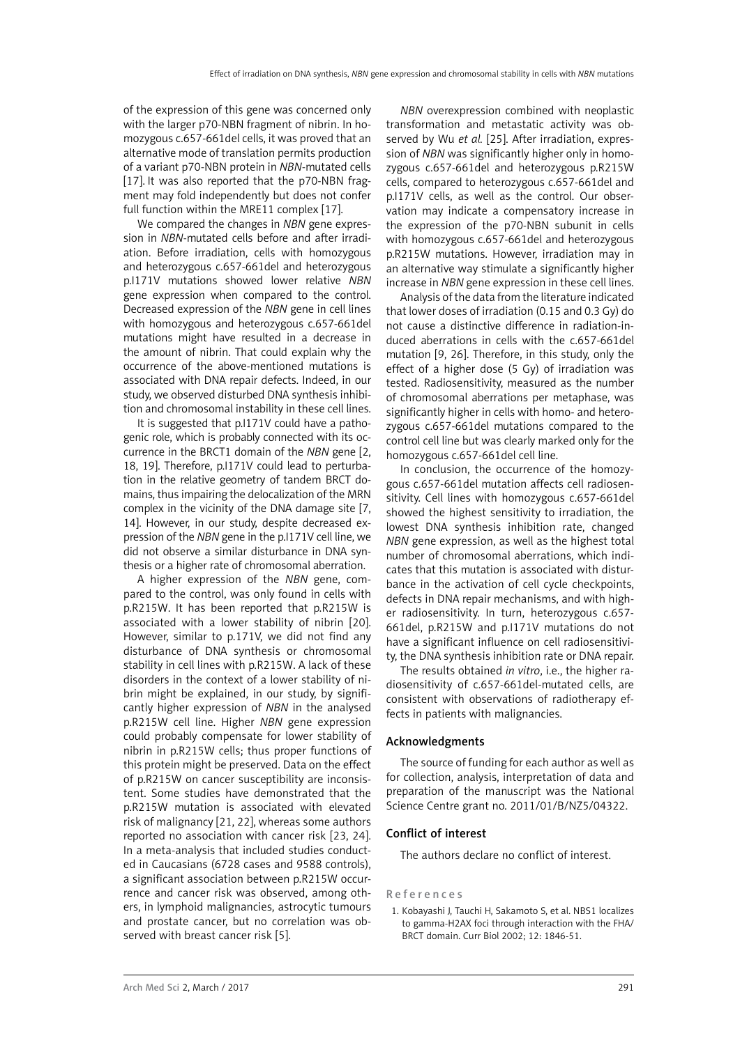of the expression of this gene was concerned only with the larger p70-NBN fragment of nibrin. In homozygous c.657-661del cells, it was proved that an alternative mode of translation permits production of a variant p70-NBN protein in *NBN*-mutated cells [17]. It was also reported that the p70-NBN fragment may fold independently but does not confer full function within the MRE11 complex [17].

We compared the changes in *NBN* gene expression in *NBN*-mutated cells before and after irradiation. Before irradiation, cells with homozygous and heterozygous c.657-661del and heterozygous p.I171V mutations showed lower relative *NBN* gene expression when compared to the control. Decreased expression of the *NBN* gene in cell lines with homozygous and heterozygous c.657-661del mutations might have resulted in a decrease in the amount of nibrin. That could explain why the occurrence of the above-mentioned mutations is associated with DNA repair defects. Indeed, in our study, we observed disturbed DNA synthesis inhibition and chromosomal instability in these cell lines.

It is suggested that p.I171V could have a pathogenic role, which is probably connected with its occurrence in the BRCT1 domain of the *NBN* gene [2, 18, 19]. Therefore, p.I171V could lead to perturbation in the relative geometry of tandem BRCT domains, thus impairing the delocalization of the MRN complex in the vicinity of the DNA damage site [7, 14]. However, in our study, despite decreased expression of the *NBN* gene in the p.I171V cell line, we did not observe a similar disturbance in DNA synthesis or a higher rate of chromosomal aberration.

A higher expression of the *NBN* gene, compared to the control, was only found in cells with p.R215W. It has been reported that p.R215W is associated with a lower stability of nibrin [20]. However, similar to p.171V, we did not find any disturbance of DNA synthesis or chromosomal stability in cell lines with p.R215W. A lack of these disorders in the context of a lower stability of nibrin might be explained, in our study, by significantly higher expression of *NBN* in the analysed p.R215W cell line. Higher *NBN* gene expression could probably compensate for lower stability of nibrin in p.R215W cells; thus proper functions of this protein might be preserved. Data on the effect of p.R215W on cancer susceptibility are inconsistent. Some studies have demonstrated that the p.R215W mutation is associated with elevated risk of malignancy [21, 22], whereas some authors reported no association with cancer risk [23, 24]. In a meta-analysis that included studies conducted in Caucasians (6728 cases and 9588 controls), a significant association between p.R215W occurrence and cancer risk was observed, among others, in lymphoid malignancies, astrocytic tumours and prostate cancer, but no correlation was observed with breast cancer risk [5].

*NBN* overexpression combined with neoplastic transformation and metastatic activity was observed by Wu *et al.* [25]. After irradiation, expression of *NBN* was significantly higher only in homozygous c.657-661del and heterozygous p.R215W cells, compared to heterozygous c.657-661del and p.I171V cells, as well as the control. Our observation may indicate a compensatory increase in the expression of the p70-NBN subunit in cells with homozygous c.657-661del and heterozygous p.R215W mutations. However, irradiation may in an alternative way stimulate a significantly higher increase in *NBN* gene expression in these cell lines.

Analysis of the data from the literature indicated that lower doses of irradiation (0.15 and 0.3 Gy) do not cause a distinctive difference in radiation-induced aberrations in cells with the c.657-661del mutation [9, 26]. Therefore, in this study, only the effect of a higher dose (5 Gy) of irradiation was tested. Radiosensitivity, measured as the number of chromosomal aberrations per metaphase, was significantly higher in cells with homo- and heterozygous c.657-661del mutations compared to the control cell line but was clearly marked only for the homozygous c.657-661del cell line.

In conclusion, the occurrence of the homozygous c.657-661del mutation affects cell radiosensitivity. Cell lines with homozygous c.657-661del showed the highest sensitivity to irradiation, the lowest DNA synthesis inhibition rate, changed *NBN* gene expression, as well as the highest total number of chromosomal aberrations, which indicates that this mutation is associated with disturbance in the activation of cell cycle checkpoints, defects in DNA repair mechanisms, and with higher radiosensitivity. In turn, heterozygous c.657- 661del, p.R215W and p.I171V mutations do not have a significant influence on cell radiosensitivity, the DNA synthesis inhibition rate or DNA repair.

The results obtained *in vitro*, i.e., the higher radiosensitivity of c.657-661del-mutated cells, are consistent with observations of radiotherapy effects in patients with malignancies.

#### Acknowledgments

The source of funding for each author as well as for collection, analysis, interpretation of data and preparation of the manuscript was the National Science Centre grant no. 2011/01/B/NZ5/04322.

#### Conflict of interest

The authors declare no conflict of interest.

#### References

1. Kobayashi J, Tauchi H, Sakamoto S, et al. NBS1 localizes to gamma-H2AX foci through interaction with the FHA/ BRCT domain. Curr Biol 2002; 12: 1846-51.